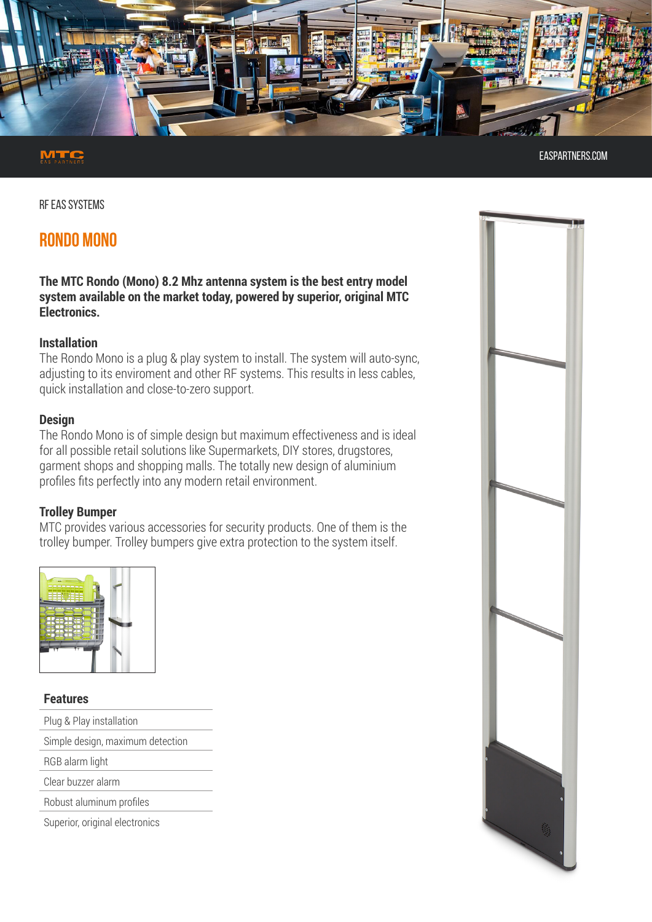

easpartners.com

RF EAS SYSTEMS

# **RONDO MONO**

**The MTC Rondo (Mono) 8.2 Mhz antenna system is the best entry model system available on the market today, powered by superior, original MTC Electronics.**

#### **Installation**

The Rondo Mono is a plug & play system to install. The system will auto-sync, adjusting to its enviroment and other RF systems. This results in less cables, quick installation and close-to-zero support.

#### **Design**

The Rondo Mono is of simple design but maximum effectiveness and is ideal for all possible retail solutions like Supermarkets, DIY stores, drugstores, garment shops and shopping malls. The totally new design of aluminium profiles fits perfectly into any modern retail environment.

#### **Trolley Bumper**

MTC provides various accessories for security products. One of them is the trolley bumper. Trolley bumpers give extra protection to the system itself.



#### **Features**

- Plug & Play installation
- Simple design, maximum detection

RGB alarm light

Clear buzzer alarm

Robust aluminum profiles

Superior, original electronics